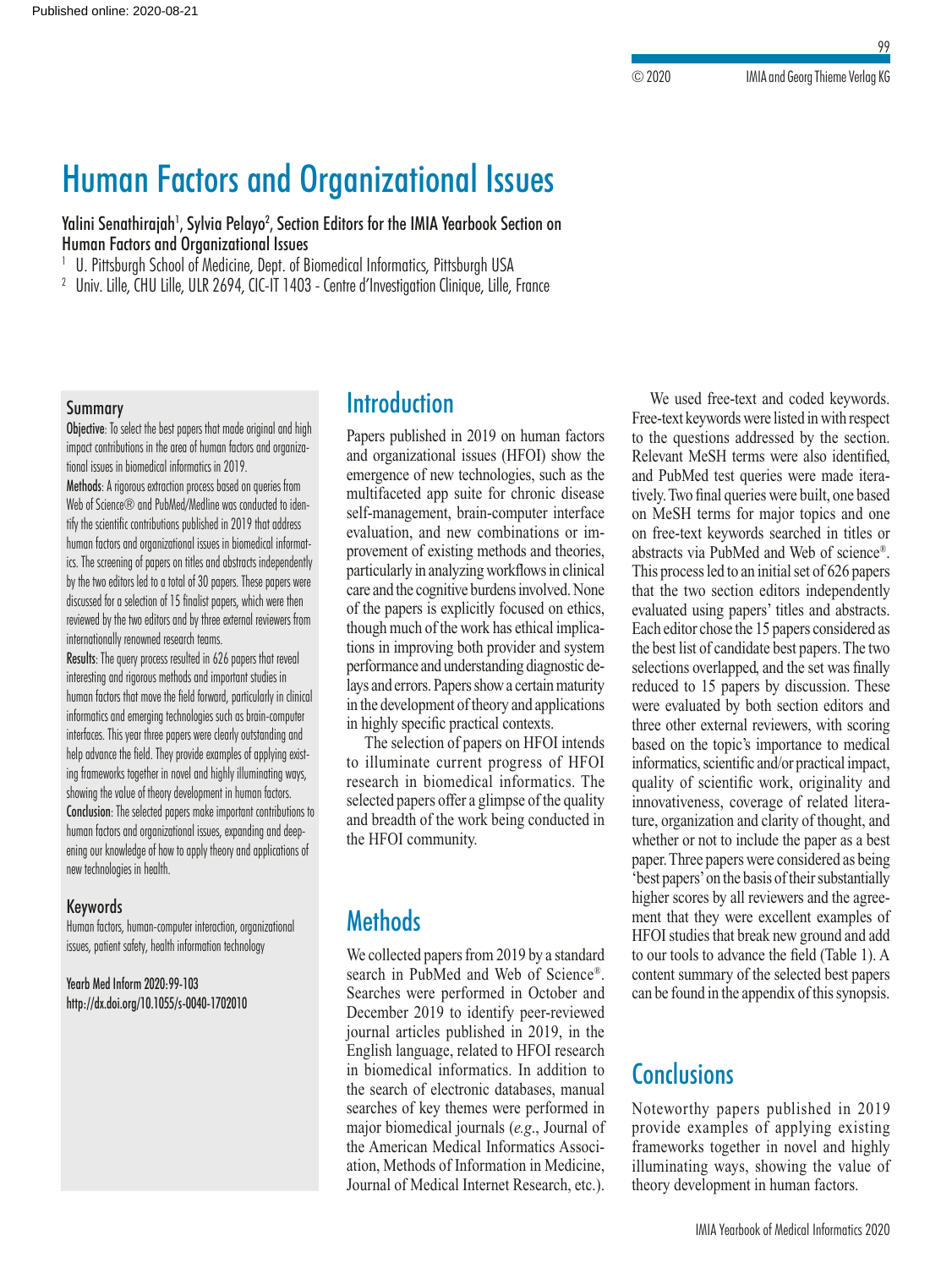99

# Human Factors and Organizational Issues

Yalini Senathirajah<sup>1</sup>, Sylvia Pelayo<sup>2</sup>, Section Editors for the IMIA Yearbook Section on Human Factors and Organizational Issues

<sup>1</sup> U. Pittsburgh School of Medicine, Dept. of Biomedical Informatics, Pittsburgh USA

<sup>2</sup> Univ. Lille, CHU Lille, ULR 2694, CIC-IT 1403 - Centre d'Investigation Clinique, Lille, France

#### Summary

Objective: To select the best papers that made original and high impact contributions in the area of human factors and organizational issues in biomedical informatics in 2019.

Methods: A rigorous extraction process based on queries from Web of Science® and PubMed/Medline was conducted to identify the scientific contributions published in 2019 that address human factors and organizational issues in biomedical informatics. The screening of papers on titles and abstracts independently by the two editors led to a total of 30 papers. These papers were discussed for a selection of 15 finalist papers, which were then reviewed by the two editors and by three external reviewers from internationally renowned research teams.

Results: The query process resulted in 626 papers that reveal interesting and rigorous methods and important studies in human factors that move the field forward, particularly in clinical informatics and emerging technologies such as brain-computer interfaces. This year three papers were clearly outstanding and help advance the field. They provide examples of applying existing frameworks together in novel and highly illuminating ways, showing the value of theory development in human factors. Conclusion: The selected papers make important contributions to human factors and organizational issues, expanding and deepening our knowledge of how to apply theory and applications of new technologies in health.

#### Keywords

Human factors, human-computer interaction, organizational issues, patient safety, health information technology

Yearb Med Inform 2020:99-103 http://dx.doi.org/10.1055/s-0040-1702010

## **Introduction**

Papers published in 2019 on human factors and organizational issues (HFOI) show the emergence of new technologies, such as the multifaceted app suite for chronic disease self-management, brain-computer interface evaluation, and new combinations or improvement of existing methods and theories, particularly in analyzing workflows in clinical care and the cognitive burdens involved. None of the papers is explicitly focused on ethics, though much of the work has ethical implications in improving both provider and system performance and understanding diagnostic delays and errors. Papers show a certain maturity in the development of theory and applications in highly specific practical contexts.

The selection of papers on HFOI intends to illuminate current progress of HFOI research in biomedical informatics. The selected papers offer a glimpse of the quality and breadth of the work being conducted in the HFOI community.

## **Methods**

We collected papers from 2019 by a standard search in PubMed and Web of Science®. Searches were performed in October and December 2019 to identify peer-reviewed journal articles published in 2019, in the English language, related to HFOI research in biomedical informatics. In addition to the search of electronic databases, manual searches of key themes were performed in major biomedical journals (*e.g*., Journal of the American Medical Informatics Association, Methods of Information in Medicine, Journal of Medical Internet Research, etc.).

We used free-text and coded keywords. Free-text keywords were listed in with respect to the questions addressed by the section. Relevant MeSH terms were also identified, and PubMed test queries were made iteratively. Two final queries were built, one based on MeSH terms for major topics and one on free-text keywords searched in titles or abstracts via PubMed and Web of science®. This process led to an initial set of 626 papers that the two section editors independently evaluated using papers' titles and abstracts. Each editor chose the 15 papers considered as the best list of candidate best papers. The two selections overlapped, and the set was finally reduced to 15 papers by discussion. These were evaluated by both section editors and three other external reviewers, with scoring based on the topic's importance to medical informatics, scientific and/or practical impact, quality of scientific work, originality and innovativeness, coverage of related literature, organization and clarity of thought, and whether or not to include the paper as a best paper. Three papers were considered as being 'best papers' on the basis of their substantially higher scores by all reviewers and the agreement that they were excellent examples of HFOI studies that break new ground and add to our tools to advance the field (Table 1). A content summary of the selected best papers can be found in the appendix of this synopsis.

### **Conclusions**

Noteworthy papers published in 2019 provide examples of applying existing frameworks together in novel and highly illuminating ways, showing the value of theory development in human factors.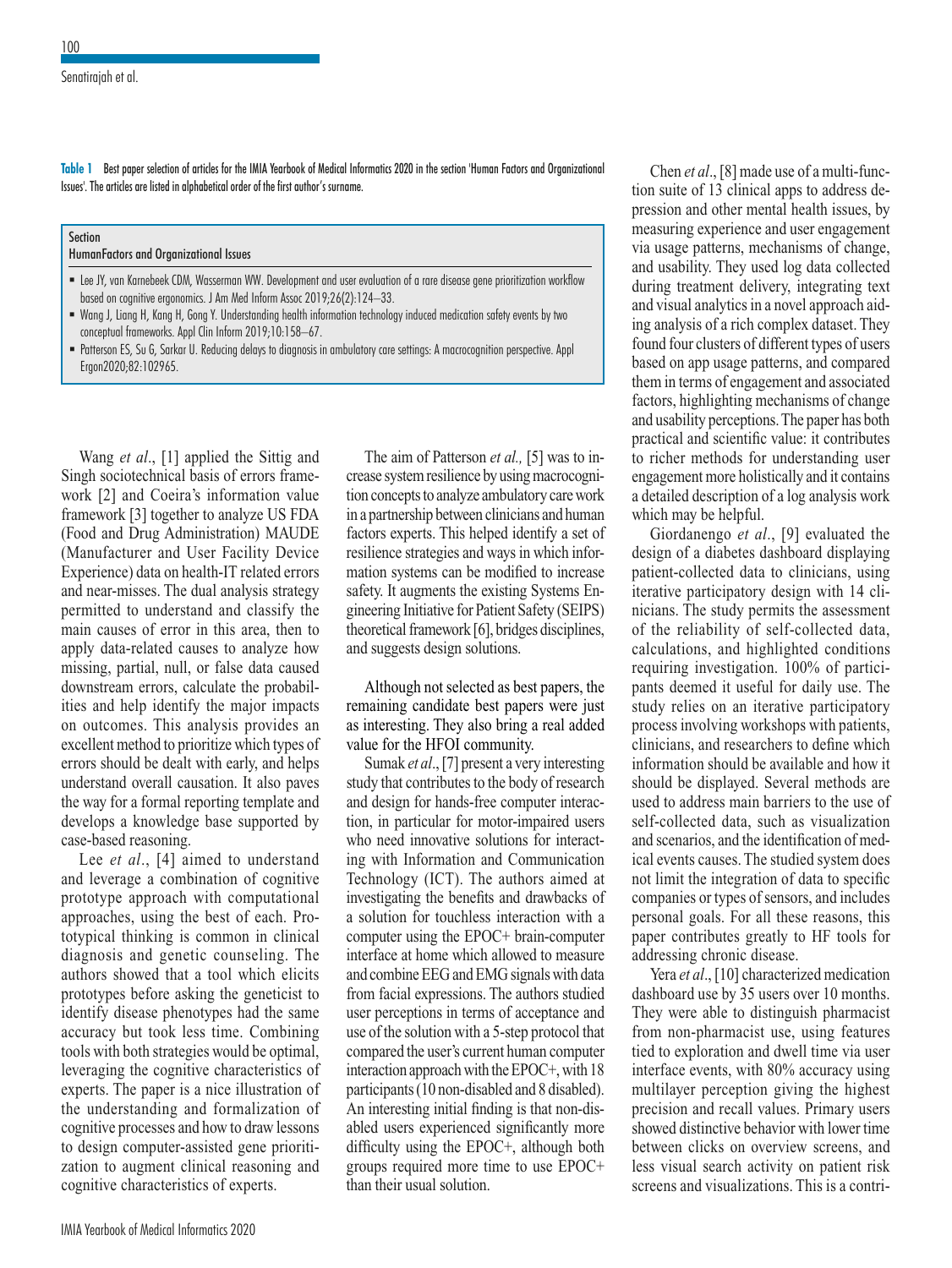**Table 1** Best paper selection of articles for the IMIA Yearbook of Medical Informatics 2020 in the section 'Human Factors and Organizational Issues'. The articles are listed in alphabetical order of the first author's surname.

Section HumanFactors and Organizational Issues

- Lee JY, van Karnebeek CDM, Wasserman WW. Development and user evaluation of a rare disease gene prioritization workflow based on cognitive ergonomics. J Am Med Inform Assoc 2019;26(2):124–33.
- Wang J, Liang H, Kang H, Gong Y. Understanding health information technology induced medication safety events by two conceptual frameworks. Appl Clin Inform 2019;10:158–67.
- Patterson ES, Su G, Sarkar U. Reducing delays to diagnosis in ambulatory care settings: A macrocognition perspective. Appl Ergon2020;82:102965.

Wang *et al*., [1] applied the Sittig and Singh sociotechnical basis of errors framework [2] and Coeira's information value framework [3] together to analyze US FDA (Food and Drug Administration) MAUDE (Manufacturer and User Facility Device Experience) data on health-IT related errors and near-misses. The dual analysis strategy permitted to understand and classify the main causes of error in this area, then to apply data-related causes to analyze how missing, partial, null, or false data caused downstream errors, calculate the probabilities and help identify the major impacts on outcomes. This analysis provides an excellent method to prioritize which types of errors should be dealt with early, and helps understand overall causation. It also paves the way for a formal reporting template and develops a knowledge base supported by case-based reasoning.

Lee *et al*., [4] aimed to understand and leverage a combination of cognitive prototype approach with computational approaches, using the best of each. Prototypical thinking is common in clinical diagnosis and genetic counseling. The authors showed that a tool which elicits prototypes before asking the geneticist to identify disease phenotypes had the same accuracy but took less time. Combining tools with both strategies would be optimal, leveraging the cognitive characteristics of experts. The paper is a nice illustration of the understanding and formalization of cognitive processes and how to draw lessons to design computer-assisted gene prioritization to augment clinical reasoning and cognitive characteristics of experts.

The aim of Patterson *et al.,* [5] was to increase system resilience by using macrocognition concepts to analyze ambulatory care work in a partnership between clinicians and human factors experts. This helped identify a set of resilience strategies and ways in which information systems can be modified to increase safety. It augments the existing Systems Engineering Initiative for Patient Safety (SEIPS) theoretical framework [6], bridges disciplines, and suggests design solutions.

Although not selected as best papers, the remaining candidate best papers were just as interesting. They also bring a real added value for the HFOI community.

Sumak *et al*., [7] present a very interesting study that contributes to the body of research and design for hands-free computer interaction, in particular for motor-impaired users who need innovative solutions for interacting with Information and Communication Technology (ICT). The authors aimed at investigating the benefits and drawbacks of a solution for touchless interaction with a computer using the EPOC+ brain-computer interface at home which allowed to measure and combine EEG and EMG signals with data from facial expressions. The authors studied user perceptions in terms of acceptance and use of the solution with a 5-step protocol that compared the user's current human computer interaction approach with the EPOC+, with 18 participants (10 non-disabled and 8 disabled). An interesting initial finding is that non-disabled users experienced significantly more difficulty using the EPOC+, although both groups required more time to use EPOC+ than their usual solution.

Chen *et al*., [8] made use of a multi-function suite of 13 clinical apps to address depression and other mental health issues, by measuring experience and user engagement via usage patterns, mechanisms of change, and usability. They used log data collected during treatment delivery, integrating text and visual analytics in a novel approach aiding analysis of a rich complex dataset. They found four clusters of different types of users based on app usage patterns, and compared them in terms of engagement and associated factors, highlighting mechanisms of change and usability perceptions. The paper has both practical and scientific value: it contributes to richer methods for understanding user engagement more holistically and it contains a detailed description of a log analysis work which may be helpful.

Giordanengo *et al*., [9] evaluated the design of a diabetes dashboard displaying patient-collected data to clinicians, using iterative participatory design with 14 clinicians. The study permits the assessment of the reliability of self-collected data, calculations, and highlighted conditions requiring investigation. 100% of participants deemed it useful for daily use. The study relies on an iterative participatory process involving workshops with patients, clinicians, and researchers to define which information should be available and how it should be displayed. Several methods are used to address main barriers to the use of self-collected data, such as visualization and scenarios, and the identification of medical events causes. The studied system does not limit the integration of data to specific companies or types of sensors, and includes personal goals. For all these reasons, this paper contributes greatly to HF tools for addressing chronic disease.

Yera *et al*., [10] characterized medication dashboard use by 35 users over 10 months. They were able to distinguish pharmacist from non-pharmacist use, using features tied to exploration and dwell time via user interface events, with 80% accuracy using multilayer perception giving the highest precision and recall values. Primary users showed distinctive behavior with lower time between clicks on overview screens, and less visual search activity on patient risk screens and visualizations. This is a contri-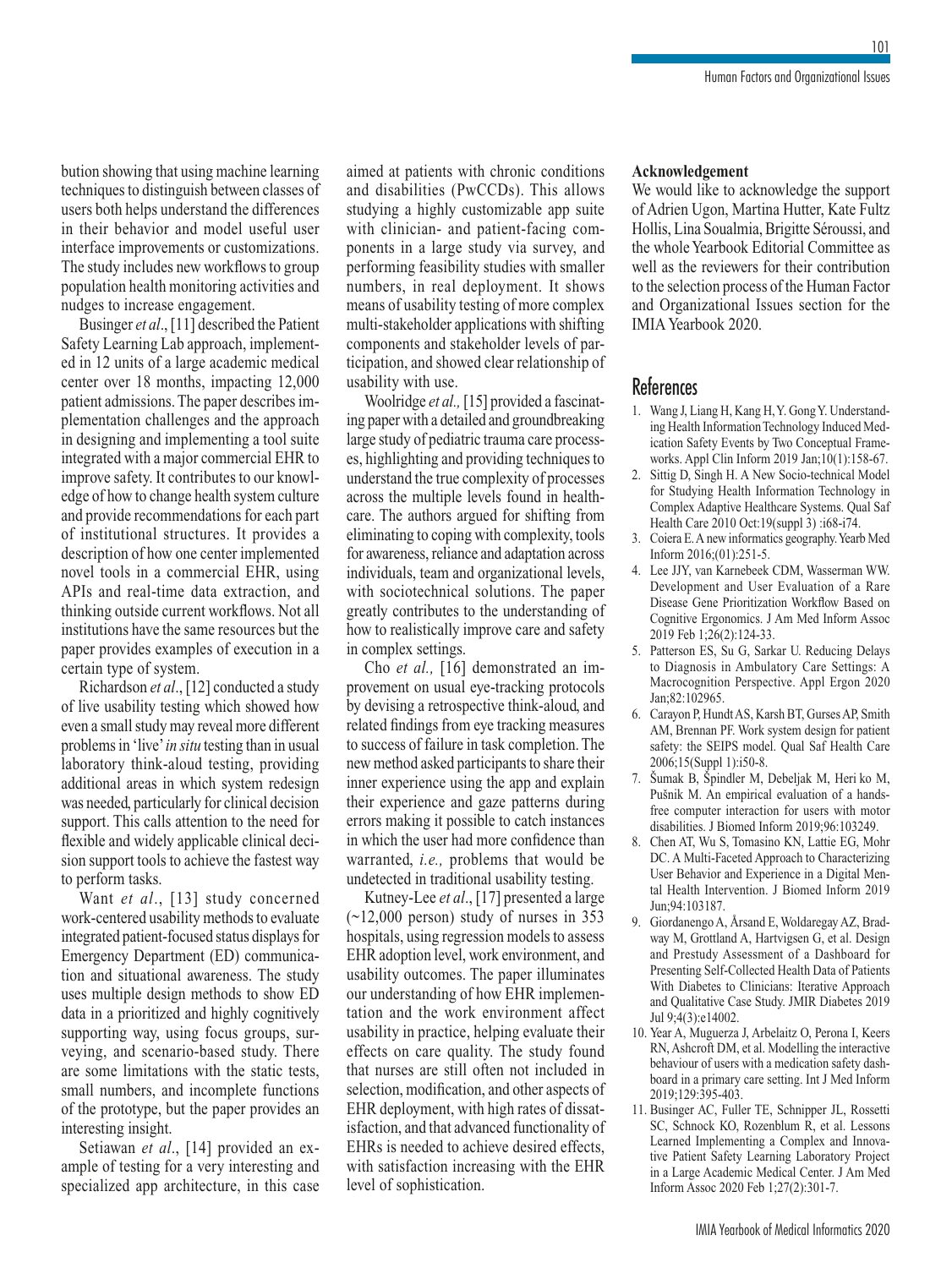101

bution showing that using machine learning techniques to distinguish between classes of users both helps understand the differences in their behavior and model useful user interface improvements or customizations. The study includes new workflows to group population health monitoring activities and nudges to increase engagement.

Businger *et al*., [11] described the Patient Safety Learning Lab approach, implemented in 12 units of a large academic medical center over 18 months, impacting 12,000 patient admissions. The paper describes implementation challenges and the approach in designing and implementing a tool suite integrated with a major commercial EHR to improve safety. It contributes to our knowledge of how to change health system culture and provide recommendations for each part of institutional structures. It provides a description of how one center implemented novel tools in a commercial EHR, using APIs and real-time data extraction, and thinking outside current workflows. Not all institutions have the same resources but the paper provides examples of execution in a certain type of system.

Richardson *et al*., [12] conducted a study of live usability testing which showed how even a small study may reveal more different problems in 'live' *in situ* testing than in usual laboratory think-aloud testing, providing additional areas in which system redesign was needed, particularly for clinical decision support. This calls attention to the need for flexible and widely applicable clinical decision support tools to achieve the fastest way to perform tasks.

Want *et al*., [13] study concerned work-centered usability methods to evaluate integrated patient-focused status displays for Emergency Department (ED) communication and situational awareness. The study uses multiple design methods to show ED data in a prioritized and highly cognitively supporting way, using focus groups, surveying, and scenario-based study. There are some limitations with the static tests, small numbers, and incomplete functions of the prototype, but the paper provides an interesting insight.

Setiawan *et al*., [14] provided an example of testing for a very interesting and specialized app architecture, in this case aimed at patients with chronic conditions and disabilities (PwCCDs). This allows studying a highly customizable app suite with clinician- and patient-facing components in a large study via survey, and performing feasibility studies with smaller numbers, in real deployment. It shows means of usability testing of more complex multi-stakeholder applications with shifting components and stakeholder levels of participation, and showed clear relationship of usability with use.

Woolridge *et al.,* [15] provided a fascinating paper with a detailed and groundbreaking large study of pediatric trauma care processes, highlighting and providing techniques to understand the true complexity of processes across the multiple levels found in healthcare. The authors argued for shifting from eliminating to coping with complexity, tools for awareness, reliance and adaptation across individuals, team and organizational levels, with sociotechnical solutions. The paper greatly contributes to the understanding of how to realistically improve care and safety in complex settings.

Cho *et al.,* [16] demonstrated an improvement on usual eye-tracking protocols by devising a retrospective think-aloud, and related findings from eye tracking measures to success of failure in task completion. The new method asked participants to share their inner experience using the app and explain their experience and gaze patterns during errors making it possible to catch instances in which the user had more confidence than warranted, *i.e.,* problems that would be undetected in traditional usability testing.

Kutney-Lee *et al*., [17] presented a large  $(\sim 12,000$  person) study of nurses in 353 hospitals, using regression models to assess EHR adoption level, work environment, and usability outcomes. The paper illuminates our understanding of how EHR implementation and the work environment affect usability in practice, helping evaluate their effects on care quality. The study found that nurses are still often not included in selection, modification, and other aspects of EHR deployment, with high rates of dissatisfaction, and that advanced functionality of EHRs is needed to achieve desired effects, with satisfaction increasing with the EHR level of sophistication.

#### **Acknowledgement**

We would like to acknowledge the support of Adrien Ugon, Martina Hutter, Kate Fultz Hollis, Lina Soualmia, Brigitte Séroussi, and the whole Yearbook Editorial Committee as well as the reviewers for their contribution to the selection process of the Human Factor and Organizational Issues section for the IMIA Yearbook 2020.

#### **References**

- 1. Wang J, Liang H, Kang H, Y. Gong Y. Understanding Health Information Technology Induced Medication Safety Events by Two Conceptual Frameworks. Appl Clin Inform 2019 Jan;10(1):158-67.
- 2. Sittig D, Singh H. A New Socio-technical Model for Studying Health Information Technology in Complex Adaptive Healthcare Systems. Qual Saf Health Care 2010 Oct:19(suppl 3) :i68-i74.
- 3. Coiera E. A new informatics geography. Yearb Med Inform 2016;(01):251-5.
- 4. Lee JJY, van Karnebeek CDM, Wasserman WW. Development and User Evaluation of a Rare Disease Gene Prioritization Workflow Based on Cognitive Ergonomics. J Am Med Inform Assoc 2019 Feb 1;26(2):124-33.
- 5. Patterson ES, Su G, Sarkar U. Reducing Delays to Diagnosis in Ambulatory Care Settings: A Macrocognition Perspective. Appl Ergon 2020 Jan;82:102965.
- 6. Carayon P, Hundt AS, Karsh BT, Gurses AP, Smith AM, Brennan PF. Work system design for patient safety: the SEIPS model. Qual Saf Health Care 2006;15(Suppl 1):i50-8.
- 7. Šumak B, Špindler M, Debeljak M, Heri ko M, Pušnik M. An empirical evaluation of a handsfree computer interaction for users with motor disabilities. J Biomed Inform 2019;96:103249.
- 8. Chen AT, Wu S, Tomasino KN, Lattie EG, Mohr DC. A Multi-Faceted Approach to Characterizing User Behavior and Experience in a Digital Mental Health Intervention. J Biomed Inform 2019 Jun;94:103187.
- 9. Giordanengo A, Årsand E, Woldaregay AZ, Bradway M, Grottland A, Hartvigsen G, et al. Design and Prestudy Assessment of a Dashboard for Presenting Self-Collected Health Data of Patients With Diabetes to Clinicians: Iterative Approach and Qualitative Case Study. JMIR Diabetes 2019 Jul 9;4(3):e14002.
- 10. Year A, Muguerza J, Arbelaitz O, Perona I, Keers RN, Ashcroft DM, et al. Modelling the interactive behaviour of users with a medication safety dashboard in a primary care setting. Int J Med Inform 2019;129:395-403.
- 11. Businger AC, Fuller TE, Schnipper JL, Rossetti SC, Schnock KO, Rozenblum R, et al. Lessons Learned Implementing a Complex and Innovative Patient Safety Learning Laboratory Project in a Large Academic Medical Center. J Am Med Inform Assoc 2020 Feb 1;27(2):301-7.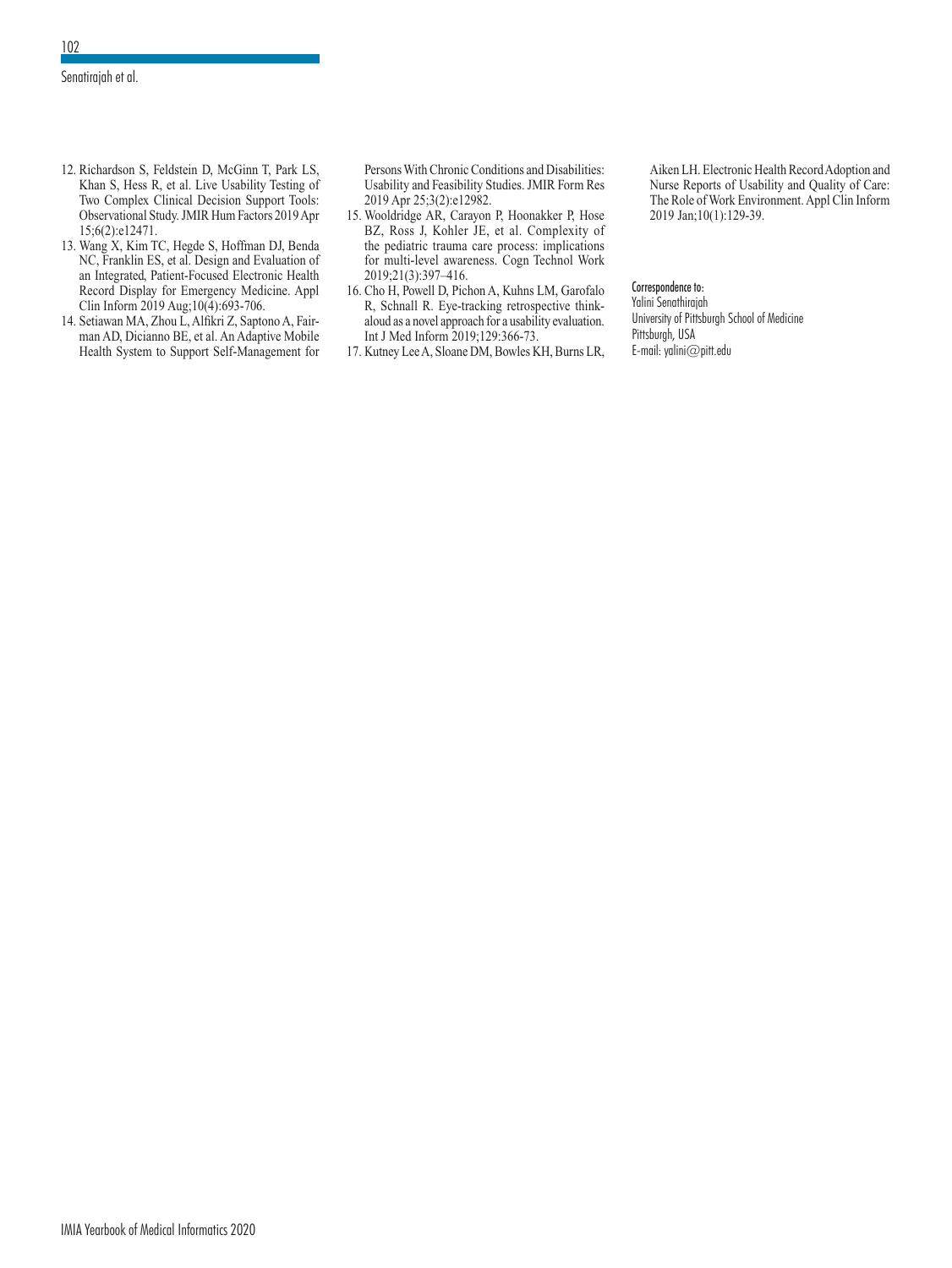- 12. Richardson S, Feldstein D, McGinn T, Park LS, Khan S, Hess R, et al. Live Usability Testing of Two Complex Clinical Decision Support Tools: Observational Study. JMIR Hum Factors 2019 Apr 15;6(2):e12471.
- 13. Wang X, Kim TC, Hegde S, Hoffman DJ, Benda NC, Franklin ES, et al. Design and Evaluation of an Integrated, Patient-Focused Electronic Health Record Display for Emergency Medicine. Appl Clin Inform 2019 Aug;10(4):693-706.
- 14. Setiawan MA, Zhou L, Alfikri Z, Saptono A, Fairman AD, Dicianno BE, et al. An Adaptive Mobile Health System to Support Self-Management for

Persons With Chronic Conditions and Disabilities: Usability and Feasibility Studies. JMIR Form Res 2019 Apr 25;3(2):e12982.

- 15. Wooldridge AR, Carayon P, Hoonakker P, Hose BZ, Ross J, Kohler JE, et al. Complexity of the pediatric trauma care process: implications for multi-level awareness. Cogn Technol Work 2019;21(3):397–416.
- 16. Cho H, Powell D, Pichon A, Kuhns LM, Garofalo R, Schnall R. Eye-tracking retrospective thinkaloud as a novel approach for a usability evaluation. Int J Med Inform 2019;129:366-73.
- 17. Kutney Lee A, Sloane DM, Bowles KH, Burns LR,

Aiken LH. Electronic Health Record Adoption and Nurse Reports of Usability and Quality of Care: The Role of Work Environment. Appl Clin Inform 2019 Jan;10(1):129-39.

#### Correspondence to:

Yalini Senathirajah University of Pittsburgh School of Medicine Pittsburgh, USA E-mail: yalini@pitt.edu